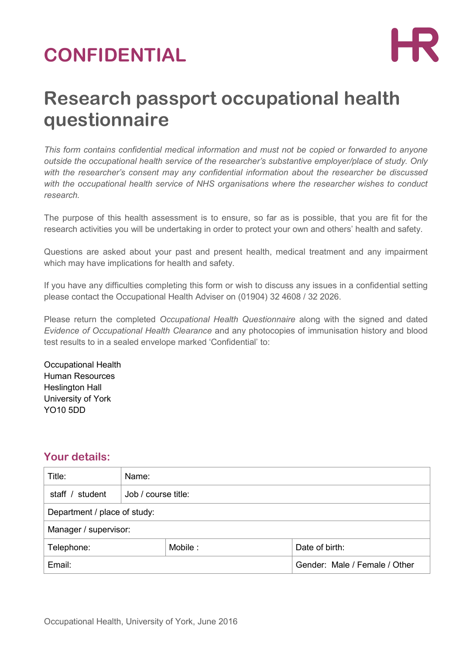# **CONFIDENTIAL**



## **Research passport occupational health questionnaire**

*This form contains confidential medical information and must not be copied or forwarded to anyone outside the occupational health service of the researcher's substantive employer/place of study. Only with the researcher's consent may any confidential information about the researcher be discussed with the occupational health service of NHS organisations where the researcher wishes to conduct research.*

The purpose of this health assessment is to ensure, so far as is possible, that you are fit for the research activities you will be undertaking in order to protect your own and others' health and safety.

Questions are asked about your past and present health, medical treatment and any impairment which may have implications for health and safety.

If you have any difficulties completing this form or wish to discuss any issues in a confidential setting please contact the Occupational Health Adviser on (01904) 32 4608 / 32 2026.

Please return the completed *Occupational Health Questionnaire* along with the signed and dated *Evidence of Occupational Health Clearance* and any photocopies of immunisation history and blood test results to in a sealed envelope marked 'Confidential' to:

Occupational Health Human Resources Heslington Hall University of York YO10 5DD

#### **Your details:**

| Title:                       | Name:               |         |                               |                |  |
|------------------------------|---------------------|---------|-------------------------------|----------------|--|
| staff / student              | Job / course title: |         |                               |                |  |
| Department / place of study: |                     |         |                               |                |  |
| Manager / supervisor:        |                     |         |                               |                |  |
| Telephone:                   |                     | Mobile: |                               | Date of birth: |  |
| Email:                       |                     |         | Gender: Male / Female / Other |                |  |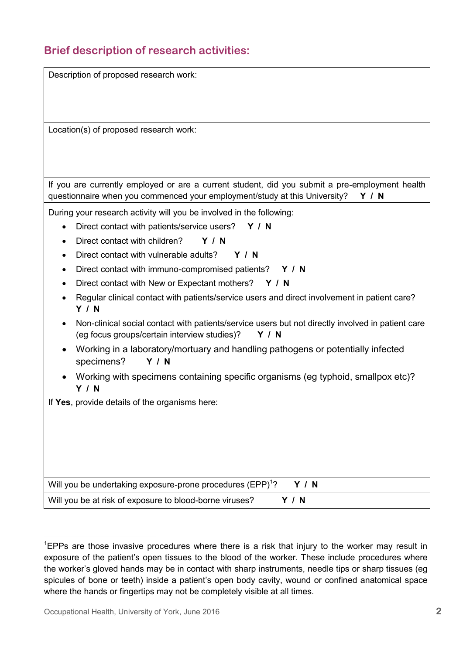## **Brief description of research activities:**

| Description of proposed research work:                                                                                                                            |
|-------------------------------------------------------------------------------------------------------------------------------------------------------------------|
|                                                                                                                                                                   |
| Location(s) of proposed research work:                                                                                                                            |
|                                                                                                                                                                   |
|                                                                                                                                                                   |
| If you are currently employed or are a current student, did you submit a pre-employment health                                                                    |
| questionnaire when you commenced your employment/study at this University?<br><b>Y / N</b>                                                                        |
| During your research activity will you be involved in the following:                                                                                              |
| Direct contact with patients/service users? Y / N<br>$\bullet$                                                                                                    |
| Direct contact with children?<br>Y / N<br>$\bullet$                                                                                                               |
| Direct contact with vulnerable adults?<br>Y / N<br>$\bullet$                                                                                                      |
| Direct contact with immuno-compromised patients? Y / N<br>$\bullet$                                                                                               |
| Direct contact with New or Expectant mothers?<br>Y / N                                                                                                            |
| Regular clinical contact with patients/service users and direct involvement in patient care?<br><b>Y / N</b>                                                      |
| Non-clinical social contact with patients/service users but not directly involved in patient care<br>(eg focus groups/certain interview studies)?<br><b>Y / N</b> |
| Working in a laboratory/mortuary and handling pathogens or potentially infected<br>specimens?<br>Y/N                                                              |
| Working with specimens containing specific organisms (eg typhoid, smallpox etc)?<br>Y / N                                                                         |
| If Yes, provide details of the organisms here:                                                                                                                    |
|                                                                                                                                                                   |
|                                                                                                                                                                   |
|                                                                                                                                                                   |
|                                                                                                                                                                   |
|                                                                                                                                                                   |
| Will you be undertaking exposure-prone procedures (EPP) <sup>1</sup> ?<br>Y/N                                                                                     |
| Will you be at risk of exposure to blood-borne viruses?<br><b>Y / N</b>                                                                                           |

1

<sup>&</sup>lt;sup>1</sup>EPPs are those invasive procedures where there is a risk that injury to the worker may result in exposure of the patient's open tissues to the blood of the worker. These include procedures where the worker's gloved hands may be in contact with sharp instruments, needle tips or sharp tissues (eg spicules of bone or teeth) inside a patient's open body cavity, wound or confined anatomical space where the hands or fingertips may not be completely visible at all times.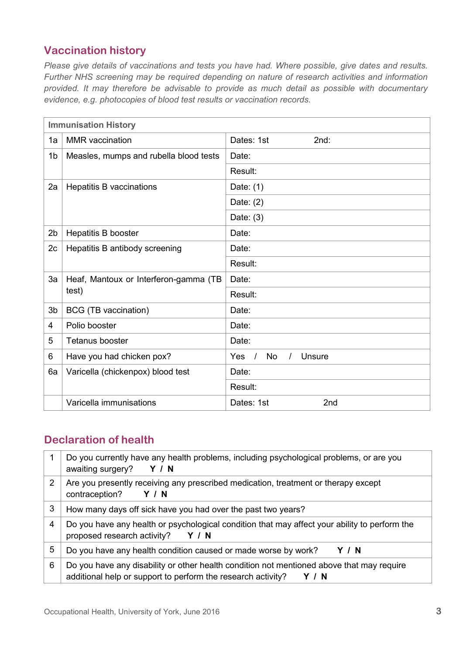### **Vaccination history**

*Please give details of vaccinations and tests you have had. Where possible, give dates and results. Further NHS screening may be required depending on nature of research activities and information provided. It may therefore be advisable to provide as much detail as possible with documentary evidence, e.g. photocopies of blood test results or vaccination records.*

| <b>Immunisation History</b> |                                        |                                                                    |  |  |
|-----------------------------|----------------------------------------|--------------------------------------------------------------------|--|--|
| 1a                          | <b>MMR</b> vaccination                 | Dates: 1st<br>2nd:                                                 |  |  |
| 1 <sub>b</sub>              | Measles, mumps and rubella blood tests | Date:                                                              |  |  |
|                             |                                        | Result:                                                            |  |  |
| 2a                          | <b>Hepatitis B vaccinations</b>        | Date: $(1)$                                                        |  |  |
|                             |                                        | Date: $(2)$                                                        |  |  |
|                             |                                        | Date: $(3)$                                                        |  |  |
| 2 <sub>b</sub>              | Hepatitis B booster                    | Date:                                                              |  |  |
| 2c                          | Hepatitis B antibody screening         | Date:                                                              |  |  |
|                             |                                        | Result:                                                            |  |  |
| 3a                          | Heaf, Mantoux or Interferon-gamma (TB  | Date:                                                              |  |  |
|                             | test)                                  | Result:                                                            |  |  |
| 3 <sub>b</sub>              | BCG (TB vaccination)                   | Date:                                                              |  |  |
| 4                           | Polio booster                          | Date:                                                              |  |  |
| 5                           | Tetanus booster                        | Date:                                                              |  |  |
| 6                           | Have you had chicken pox?              | $\sqrt{ }$<br><b>No</b><br><b>Yes</b><br><b>Unsure</b><br>$\prime$ |  |  |
| 6a                          | Varicella (chickenpox) blood test      | Date:                                                              |  |  |
|                             |                                        | Result:                                                            |  |  |
|                             | Varicella immunisations                | 2nd<br>Dates: 1st                                                  |  |  |

#### **Declaration of health**

|   | Do you currently have any health problems, including psychological problems, or are you<br>awaiting surgery?<br>Y / N                                              |
|---|--------------------------------------------------------------------------------------------------------------------------------------------------------------------|
| 2 | Are you presently receiving any prescribed medication, treatment or therapy except<br>contraception?<br>Y / N                                                      |
| 3 | How many days off sick have you had over the past two years?                                                                                                       |
| 4 | Do you have any health or psychological condition that may affect your ability to perform the<br>proposed research activity?<br>Y / N                              |
| 5 | Do you have any health condition caused or made worse by work?<br>Y / N                                                                                            |
| 6 | Do you have any disability or other health condition not mentioned above that may require<br>additional help or support to perform the research activity?<br>Y / N |